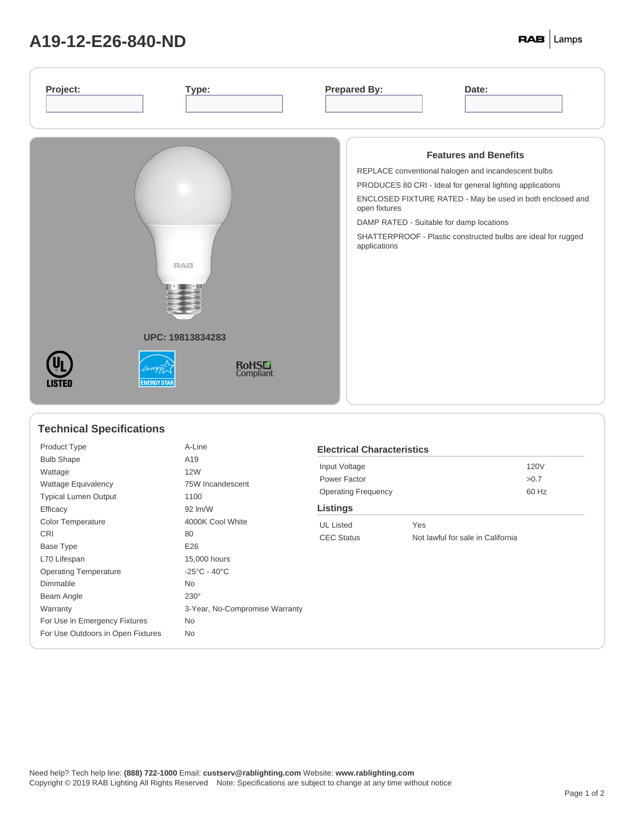## **A19-12-E26-840-ND**

| <b>Features and Benefits</b><br>REPLACE conventional halogen and incandescent bulbs<br>PRODUCES 80 CRI - Ideal for general lighting applications<br>ENCLOSED FIXTURE RATED - May be used in both enclosed and<br>open fixtures<br>DAMP RATED - Suitable for damp locations<br>SHATTERPROOF - Plastic constructed bulbs are ideal for rugged<br>applications<br>RAB <sup>®</sup><br>UPC: 19813834283<br><b>RoHSL</b><br>Compliant<br><b>ENERGY STAR</b><br>LISTEI | Project:<br>Type: | <b>Prepared By:</b><br>Date: |
|------------------------------------------------------------------------------------------------------------------------------------------------------------------------------------------------------------------------------------------------------------------------------------------------------------------------------------------------------------------------------------------------------------------------------------------------------------------|-------------------|------------------------------|
|                                                                                                                                                                                                                                                                                                                                                                                                                                                                  |                   |                              |

## **Technical Specifications**

| Product Type                      | A-Line                            |
|-----------------------------------|-----------------------------------|
| <b>Bulb Shape</b>                 | A19                               |
| Wattage                           | <b>12W</b>                        |
| <b>Wattage Equivalency</b>        | 75W Incandescent                  |
| <b>Typical Lumen Output</b>       | 1100                              |
| Efficacy                          | 92 lm/W                           |
| <b>Color Temperature</b>          | 4000K Cool White                  |
| <b>CRI</b>                        | 80                                |
| Base Type                         | E26                               |
| L70 Lifespan                      | 15,000 hours                      |
| <b>Operating Temperature</b>      | $-25^{\circ}$ C - 40 $^{\circ}$ C |
| Dimmable                          | <b>No</b>                         |
| Beam Angle                        | $230^\circ$                       |
| Warranty                          | 3-Year, No-Compromise Warranty    |
| For Use in Emergency Fixtures     | No.                               |
| For Use Outdoors in Open Fixtures | <b>No</b>                         |
|                                   |                                   |

| <b>Electrical Characteristics</b> |                                   |       |  |  |  |  |
|-----------------------------------|-----------------------------------|-------|--|--|--|--|
| Input Voltage                     |                                   | 120V  |  |  |  |  |
| Power Factor                      |                                   | >0.7  |  |  |  |  |
| <b>Operating Frequency</b>        |                                   | 60 Hz |  |  |  |  |
| Listings                          |                                   |       |  |  |  |  |
| <b>UL</b> Listed                  | Yes                               |       |  |  |  |  |
| <b>CEC Status</b>                 | Not lawful for sale in California |       |  |  |  |  |